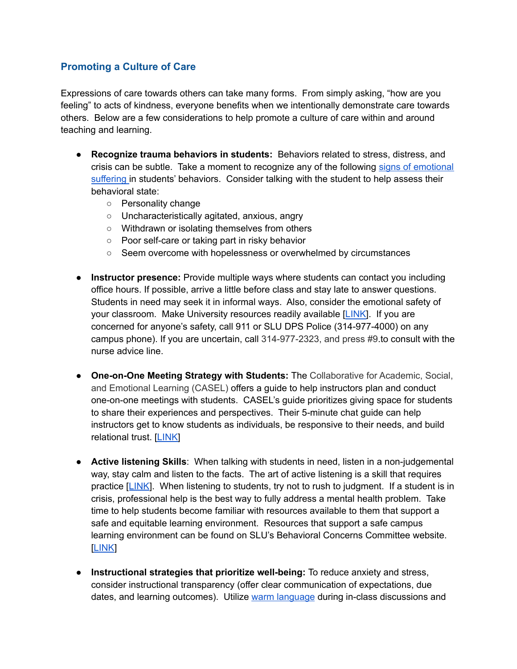## **Promoting a Culture of Care**

Expressions of care towards others can take many forms. From simply asking, "how are you feeling" to acts of kindness, everyone benefits when we intentionally demonstrate care towards others. Below are a few considerations to help promote a culture of care within and around teaching and learning.

- Recognize trauma behaviors in students: Behaviors related to stress, distress, and crisis can be subtle. Take a moment to recognize any of the following signs of emotional suffering in students' behaviors. Consider talking with the student to help assess their behavioral state:
	- o Personality change
	- $\circ$  Uncharacteristically agitated, anxious, angry
	- o Withdrawn or isolating themselves from others
	- Poor self-care or taking part in risky behavior
	- Seem overcome with hopelessness or overwhelmed by circumstances
- Instructor presence: Provide multiple ways where students can contact you including office hours. If possible, arrive a little before class and stay late to answer questions. Students in need may seek it in informal ways. Also, consider the emotional safety of your classroom. Make University resources readily available [LINK]. If you are concerned for anyone's safety, call 911 or SLU DPS Police (314-977-4000) on any campus phone). If you are uncertain, call 314-977-2323, and press #9.to consult with the nurse advice line
- One-on-One Meeting Strategy with Students: The Collaborative for Academic, Social, and Emotional Learning (CASEL) offers a guide to help instructors plan and conduct one-on-one meetings with students. CASEL's guide prioritizes giving space for students to share their experiences and perspectives. Their 5-minute chat guide can help instructors get to know students as individuals, be responsive to their needs, and build relational trust. [LINK]
- Active listening Skills: When talking with students in need, listen in a non-judgemental way, stay calm and listen to the facts. The art of active listening is a skill that requires practice [LINK]. When listening to students, try not to rush to judgment. If a student is in crisis, professional help is the best way to fully address a mental health problem. Take time to help students become familiar with resources available to them that support a safe and equitable learning environment. Resources that support a safe campus learning environment can be found on SLU's Behavioral Concerns Committee website. **LINK**
- Instructional strategies that prioritize well-being: To reduce anxiety and stress, consider instructional transparency (offer clear communication of expectations, due dates, and learning outcomes). Utilize warm language during in-class discussions and